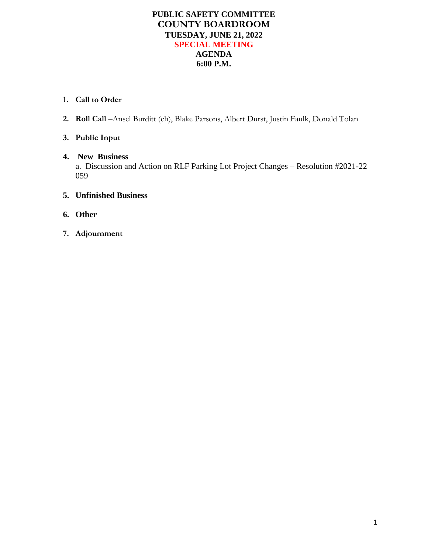## **PUBLIC SAFETY COMMITTEE COUNTY BOARDROOM TUESDAY, JUNE 21, 2022 SPECIAL MEETING AGENDA 6:00 P.M.**

### **1. Call to Order**

**2. Roll Call –**Ansel Burditt (ch), Blake Parsons, Albert Durst, Justin Faulk, Donald Tolan

# **3. Public Input**

### **4. New Business**

a. Discussion and Action on RLF Parking Lot Project Changes – Resolution #2021-22 059

### **5. Unfinished Business**

- **6. Other**
- **7. Adjournment**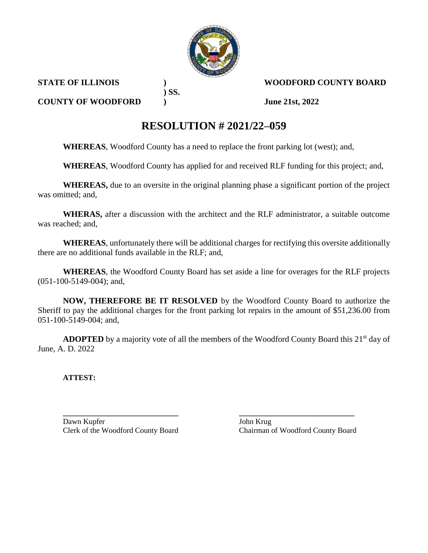

**STATE OF ILLINOIS ) WOODFORD COUNTY BOARD**

**COUNTY OF WOODFORD ) June 21st, 2022**

# **RESOLUTION # 2021/22–059**

**WHEREAS**, Woodford County has a need to replace the front parking lot (west); and,

**) SS.**

**WHEREAS**, Woodford County has applied for and received RLF funding for this project; and,

**WHEREAS,** due to an oversite in the original planning phase a significant portion of the project was omitted; and,

**WHERAS,** after a discussion with the architect and the RLF administrator, a suitable outcome was reached; and,

**WHEREAS**, unfortunately there will be additional charges for rectifying this oversite additionally there are no additional funds available in the RLF; and,

**WHEREAS**, the Woodford County Board has set aside a line for overages for the RLF projects (051-100-5149-004); and,

**NOW, THEREFORE BE IT RESOLVED** by the Woodford County Board to authorize the Sheriff to pay the additional charges for the front parking lot repairs in the amount of \$51,236.00 from 051-100-5149-004; and,

ADOPTED by a majority vote of all the members of the Woodford County Board this 21<sup>st</sup> day of June, A. D. 2022

**ATTEST:**

**\_\_\_\_\_\_\_\_\_\_\_\_\_\_\_\_\_\_\_\_\_\_\_\_\_\_\_\_\_\_ \_\_\_\_\_\_\_\_\_\_\_\_\_\_\_\_\_\_\_\_\_\_\_\_\_\_\_\_\_\_** Dawn Kupfer John Krug

Clerk of the Woodford County Board Chairman of Woodford County Board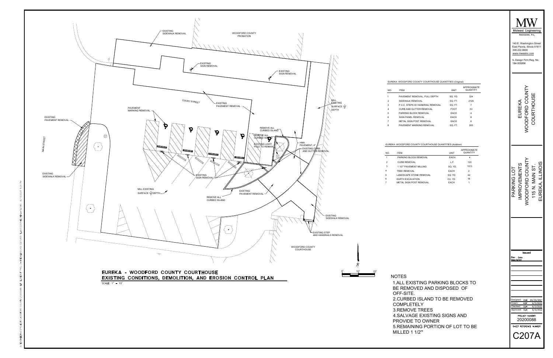

|                |                                                           |             |                                | Midwest Engineering                                                                                                                                     |
|----------------|-----------------------------------------------------------|-------------|--------------------------------|---------------------------------------------------------------------------------------------------------------------------------------------------------|
|                |                                                           |             |                                | Associates, Inc.<br>140 E. Washington Street<br>East Peoria, Illinois 61611<br>309.222.8600<br>www.mweainc.com<br>IL Design Firm Reg. No.<br>184-005896 |
|                | EUREKA - WOODFORD COUNTY COURTHOUSE QUANTITIES (Original) |             |                                |                                                                                                                                                         |
| NO.            | <b>ITEM</b>                                               | <b>UNIT</b> | <b>APPROXIMATE</b><br>QUANTITY |                                                                                                                                                         |
| 1              | PAVEMENT REMOVAL, FULL DEPTH                              | SQ. YD.     | 324                            | ODFORD COUNT<br>COURTHOUSE                                                                                                                              |
| 2              | SIDEWALK REMOVAL                                          | SQ. FT.     | 2129                           |                                                                                                                                                         |
| 3              | P.C.C. STEPS W/ HANDRAIL REMOVAL                          | SQ. FT.     | $\overline{7}$                 | EUREKA                                                                                                                                                  |
| 4              | CURB AND GUTTER REMOVAL                                   | <b>FOOT</b> | 53                             |                                                                                                                                                         |
| 5              | PARKING BLOCK REMOVAL                                     | EACH        | 4                              |                                                                                                                                                         |
| 6              | SIGN PANEL REMOVAL                                        | EACH        | 8                              |                                                                                                                                                         |
| $\overline{7}$ | METAL SIGN POST REMOVAL                                   | EACH        | 6                              |                                                                                                                                                         |
| 8              | PAVEMENT MARKING REMOVAL                                  | SQ. FT.     | 205                            |                                                                                                                                                         |

|                | EUREKA -WOODFORD COUNTY COURTHOUSE QUANTITIES (Addition) |             |                                |
|----------------|----------------------------------------------------------|-------------|--------------------------------|
| NO.            | <b>ITFM</b>                                              | UNIT        | <b>APPROXIMATE</b><br>QUANTITY |
| 1              | PARKING BLOCK REMOVAL                                    | <b>FACH</b> | 4                              |
| $\overline{2}$ | <b>CURB REMOVAL</b>                                      | L.E.        | 120                            |
| 3              | 1 1/2" PAVEMENT MILLING                                  | SO. YD.     | 1013                           |
| 4              | <b>TREE REMOVAL</b>                                      | <b>FACH</b> | $\overline{2}$                 |
|                | LANDSCAPE STONE REMOVAL                                  | SO. YD      | 44                             |
| 5              | <b>FARTH FXCAVATION</b>                                  | CU. YD      | 18                             |
|                | METAL SIGN POST REMOVAL                                  | <b>FACH</b> | 1                              |

IOTES<br>1.ALL EXISTING PARKING BLOCKS<br>BE REMOVED AND DISPOSED OF IOTES<br>1.ALL EXISTING PARKING BLOCKS T<br>BE REMOVED AND DISPOSED OF<br>OFF-SITE.<br>2.CURBED ISLAND TO BE REMOVED BE REMOVED AND DISPOSED OF<br>OFF-SITE.<br>2.CURBED ISLAND TO BE REMOV<br>COMPLETELY<br>3.REMOVE TREES<br>4.SALVAGE EXISTING SIGNS AND 2.CURBED ISLAND TO<br>COMPLETELY<br>3.REMOVE TREES<br>4.SALVAGE EXISTING<br>PROVIDE TO OWNER COMPLETELY<br>3.REMOVE TREES<br>4.SALVAGE EXISTING SIGNS AND<br>PROVIDE TO OWNER<br>5.REMAINING PORTION OF LOT TO BE

| <b><i>NOODFORD COUNTY</i></b><br>COURTHOUSE<br>EUREKA<br><b>NOODFORD COUNTY</b><br>EUREKA, ILLINOIS<br><b>MPROVEMENTS</b><br>115 N. MAIN ST.<br>PARKING LOT<br>Issued<br>Rev<br>Dote<br>Description | ast Peoria, illinois<br>309.222.8600<br>www.mweainc.com<br>IL Design Firm Reg. No.<br>184-005896 | ו סו ס |  |
|-----------------------------------------------------------------------------------------------------------------------------------------------------------------------------------------------------|--------------------------------------------------------------------------------------------------|--------|--|
|                                                                                                                                                                                                     |                                                                                                  |        |  |
|                                                                                                                                                                                                     |                                                                                                  |        |  |
|                                                                                                                                                                                                     |                                                                                                  |        |  |

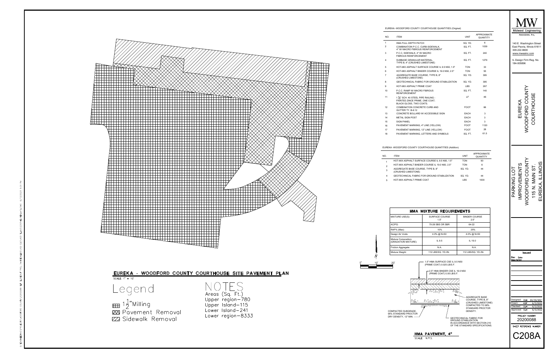

 $\frac{13}{14}$ 

17

| NO.            | <b>ITFM</b>                                              | UNIT       | <b>APPROXIMATE</b><br>QUANTITY |
|----------------|----------------------------------------------------------|------------|--------------------------------|
|                | HOT-MIX ASPHALT SURFACE COURSE IL 9.5 N50, 1.5"          | <b>TON</b> | 90                             |
| $\overline{2}$ | HOT-MIX ASPHALT BINDER COURSE IL 19.0 N50, 2.5"          | <b>TON</b> | 6                              |
| 3              | AGGREGATE BASE COURSE, TYPE B, 8"<br>(CRUSHED LIMESTONE) | SO. YD.    | 44                             |
| 4              | GEOTECHNICAL FABRIC FOR GROUND STABILIZATION             | SQ. YD.    | 44                             |
| 5              | HOT-MIX ASPHALT PRIME COAT                               | <b>LBS</b> | 1000                           |
|                |                                                          |            |                                |

|                | EUREKA - WOODFORD COUNTY COURTHOUSE QUANTITIES (Original)                                                   |             |                         |                                             |
|----------------|-------------------------------------------------------------------------------------------------------------|-------------|-------------------------|---------------------------------------------|
| NO.            | <b>ITEM</b>                                                                                                 | <b>UNIT</b> | APPROXIMATE<br>QUANTITY | Midwest Engineering<br>Associates, Inc.     |
| 1              | HMA FULL DEPTH PATCH                                                                                        | SQ. YD.     | 6                       | 140 E. Washington Street                    |
| 2              | COMBINATION P.C.C. CURB-SIDEWALK.<br>4" W/ MACRO FIBROUS REINFORCEMENT                                      | SQ. FT.     | 1039                    | East Peoria, Illinois 61611<br>309.222.8600 |
| 3              | P.C.C, SIDEWALK, 4" W/ MACRO<br><b>FIBROUS REINFORCEMENT</b>                                                | SQ. FT.     | 240                     | www.mweainc.com                             |
| 4              | SUBBASE GRANULAR MATERIAL.<br>TYPE B, 4" (CRUSHED LIMESTONE)                                                | SQ. FT.     | 1279                    | IL Design Firm Reg. No.<br>184-005896       |
| 5              | HOT-MIX ASPHALT SURFACE COURSE IL 9.5 N50, 1.5"                                                             | <b>TON</b>  | 33                      |                                             |
| 6              | HOT-MIX ASPHALT BINDER COURSE IL 19.0 N50, 2.5"                                                             | <b>TON</b>  | 55                      |                                             |
| $\overline{7}$ | AGGREGATE BASE COURSE, TYPE B, 8"<br>(CRUSHED LIMESTONE)                                                    | SQ. YD.     | 395                     |                                             |
| 8              | GEOTECHNICAL FABRIC FOR GROUND STABILIZATION                                                                | SQ. YD.     | 395                     |                                             |
| 9              | HOT-MIX ASPHALT PRIME COAT                                                                                  | LBS.        | 267                     |                                             |
| 10             | P.C.C. RAMP W/ MACRO FIBROUS<br><b>REINFORCEMENT</b>                                                        | SQ. FT.     | 140                     |                                             |
| 11             | 1 1/ <sub>5</sub> SCH. 40 STEEL PIPE RAILING -<br>PAINTED ZINCE PRIME, ONE COAT;<br>BLACK GLOSS, TWO COATS. | LE.         | 46                      | <b>OODFORD COUNT</b><br>COURTHOUSE          |
| 12             | COMBINATION CONCRETE CURB AND<br>GUTTER TY, B-6.12                                                          | <b>FOOT</b> | 66                      | EUREKA                                      |
| 13             | CONCRETE BOLLARD W/ ACCESSIBLE SIGN                                                                         | EACH        | 3                       |                                             |
| 14             | <b>METAL SIGN POST</b>                                                                                      | EACH        | 3                       |                                             |
| 15             | <b>SIGN PANEL</b>                                                                                           | EACH        | 3                       |                                             |
| 16             | PAVEMENT MARKING, 4" LINE (YELLOW)                                                                          | <b>FOOT</b> | 1120                    |                                             |
| 17             | PAVEMENT MARKING, 12" LINE (YELLOW)                                                                         | <b>FOOT</b> | 28                      |                                             |
| 18             | PAVEMENT MARKING, LETTERS AND SYMBOLS                                                                       | SQ. FT.     | 61.5                    |                                             |

|                    | 309.222.8600<br>184-005896                  | Associates, Inc.<br>www.mweainc.com                  | Midwest Engineering<br>140 E. Washington Street<br>East Peoria, Illinois 61611<br>IL Design Firm Reg. No. |                                  |
|--------------------|---------------------------------------------|------------------------------------------------------|-----------------------------------------------------------------------------------------------------------|----------------------------------|
|                    | щ                                           | ü                                                    | Ĭ<br>نو<br>م                                                                                              |                                  |
|                    | VEMENT<br>$\mathsf{D}$<br>₫                 | ODFORD COL                                           | ۱۲,                                                                                                       | П                                |
| Rev<br>Description | Date                                        | Issued                                               |                                                                                                           |                                  |
| Designed:          | Drawn: KBF<br>Checked: DLH<br>Approved: DLH | DLH<br>PROJECT NUMBER<br>20200088<br>SHEET REFERENCE | 04/30/2021<br><b>NUMBER</b><br>208A                                                                       | 6/3/2022<br>6/3/2022<br>6/3/2022 |

| <b>ITEM</b>                                                            |                                                                                                                                                                                     | <b>UNIT</b>                                            | APPROXIMATE<br>QUANTITY                                                         |
|------------------------------------------------------------------------|-------------------------------------------------------------------------------------------------------------------------------------------------------------------------------------|--------------------------------------------------------|---------------------------------------------------------------------------------|
|                                                                        | HOT-MIX ASPHALT SURFACE COURSE IL 9.5 N50, 1.5"                                                                                                                                     | <b>TON</b>                                             | 90                                                                              |
|                                                                        | HOT-MIX ASPHALT BINDER COURSE IL 19.0 N50, 2.5"                                                                                                                                     | <b>TON</b>                                             | 6                                                                               |
| AGGREGATE BASE COURSE, TYPE B, 8"<br>(CRUSHED LIMESTONE)               |                                                                                                                                                                                     | SQ. YD.                                                | 44                                                                              |
|                                                                        | GEOTECHNICAL FABRIC FOR GROUND STABILIZATION                                                                                                                                        | SQ. YD.                                                | 44                                                                              |
| HOT-MIX ASPHALT PRIME COAT                                             |                                                                                                                                                                                     | <b>LBS</b>                                             | 1000                                                                            |
|                                                                        | <b>HMA MIXTURE REQUIREMENTS</b>                                                                                                                                                     |                                                        |                                                                                 |
| <b>MIXTURE USE(S):</b>                                                 | SURFACE COURSE<br>1.5"                                                                                                                                                              |                                                        | <b>BINDER COURSE</b><br>2.5"                                                    |
| AC/PG:                                                                 | 70-28 SBS OR SBR                                                                                                                                                                    |                                                        | 64-22                                                                           |
| RAP% (Max):                                                            | 10%                                                                                                                                                                                 |                                                        | 25%                                                                             |
| Design Air Voids:                                                      | 4.0% @ N=50                                                                                                                                                                         |                                                        | 4.0% @ N=50                                                                     |
| Mixture Composition:<br>(GRADATION MIXTURE)                            | IL 9.5                                                                                                                                                                              |                                                        | IL 19.0                                                                         |
| Friction Aggregate:                                                    | N.A.                                                                                                                                                                                |                                                        | N.A.                                                                            |
| Mixture Weight:                                                        | 112 LBS/SQ, YD./IN.                                                                                                                                                                 |                                                        | 112 LBS/SQ, YD./IN.                                                             |
| 20'<br>၀တ္လိွ၀                                                         | 1.5" HMA SURFACE CSE IL 9.5 N50<br>(PRIME COAT) 0.025 LB/S.F.<br>2.5" HMA BINDER CSE IL 19.0 N50<br>(PRIME COAT) 0.05 LB/S.F.<br><mark>శ</mark> ్యాంశం<br>၀၀ိွေဝွတ္တိဝိွ<br>TRIRAK, |                                                        | AGGREGATE BASE<br>COURSE, TYPE B, 8"<br>(CRUSHED LIMESTONE)<br>COMPACTED TO 98% |
| COMPACTED SUBGRADE,<br>95% STANDARD PROCTOR<br>DRY DENSITY, 12" MIN. - |                                                                                                                                                                                     | GEOTECHNICAL FABRIC FOR<br><b>GROUND STABILIZATION</b> | STANDARD PROCTOR<br>DENSITY.<br>IN ACCORDANCE WITH SECTION 210                  |

### EUREKA - WOODFORD COUNTY COURTHOUSE SITE PAVEMENT PLAN





 $\begin{CD} \mathbb{H} \to \mathbb{R}^3 \mathbb{H} \to \mathbb{R}^3 \ \mathbb{H} \to \mathbb{R}^3 \ \mathbb{H} \to \mathbb{R}^3 \end{CD}$ **ZZ Sidewalk Removal** 

.S Areas (Sq. Ft.) Upper region-780 Upper Island-115 Lower Island-241 Lower region-8333



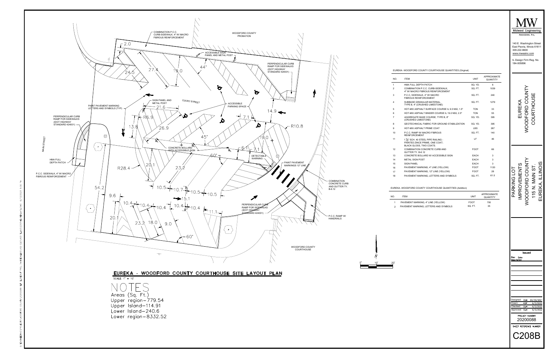

|     | EUREKA - WOODFORD COUNTY COURTHOUSE QUANTITIES (Original)                                                     |             |                                | Midwest Engineering<br>Associates, Inc.<br>140 E. Washington Street<br>East Peoria, Illinois 61611<br>309.222.8600<br>www.mweainc.com<br>IL Design Firm Reg. No.<br>184-005896 |
|-----|---------------------------------------------------------------------------------------------------------------|-------------|--------------------------------|--------------------------------------------------------------------------------------------------------------------------------------------------------------------------------|
| NO. | <b>ITEM</b>                                                                                                   | <b>UNIT</b> | <b>APPROXIMATE</b><br>QUANTITY |                                                                                                                                                                                |
| 1   | HMA FULL DEPTH PATCH                                                                                          | SQ. YD.     | 6                              |                                                                                                                                                                                |
| 2   | COMBINATION P.C.C. CURB-SIDEWALK,<br>4" W/ MACRO FIBROUS REINFORCEMENT                                        | SQ. FT.     | 1039                           |                                                                                                                                                                                |
| 3   | P.C.C, SIDEWALK, 4" W/ MACRO<br><b>FIBROUS REINFORCEMENT</b>                                                  | SQ. FT.     | 240                            | WOODFORD COUNT                                                                                                                                                                 |
| 4   | SUBBASE GRANULAR MATERIAL,<br>TYPE B, 4" (CRUSHED LIMESTONE)                                                  | SQ. FT.     | 1279                           | EUREKA                                                                                                                                                                         |
| 5   | HOT-MIX ASPHALT SURFACE COURSE IL 9.5 N50, 1.5"                                                               | <b>TON</b>  | 33                             |                                                                                                                                                                                |
| 6   | HOT-MIX ASPHALT BINDER COURSE IL 19.0 N50, 2.5"                                                               | <b>TON</b>  | 55                             |                                                                                                                                                                                |
| 7   | AGGREGATE BASE COURSE, TYPE B, 8"<br>(CRUSHED LIMESTONE)                                                      | SQ. YD.     | 395                            | COURTHOUSE                                                                                                                                                                     |
| 8   | GEOTECHNICAL FABRIC FOR GROUND STABILIZATION                                                                  | SQ. YD.     | 395                            |                                                                                                                                                                                |
| 9   | HOT-MIX ASPHALT PRIME COAT                                                                                    | LBS         | 267                            |                                                                                                                                                                                |
| 10  | P.C.C. RAMP W/ MACRO FIBROUS<br><b>REINFORCEMENT</b>                                                          | SQ. FT.     | 140                            |                                                                                                                                                                                |
| 11  | 1 1/ <sub>2</sub> " SCH. 40 STEEL PIPE RAILING -<br>PAINTED ZINCE PRIME, ONE COAT;<br>BLACK GLOSS, TWO COATS. | LF          | 46                             |                                                                                                                                                                                |
| 12  | COMBINATION CONCRETE CURB AND<br>GUTTER TY, B-6.12                                                            | <b>FOOT</b> | 66                             |                                                                                                                                                                                |
| 13  | CONCRETE BOLLARD W/ ACCESSIBLE SIGN                                                                           | EACH        | 3                              |                                                                                                                                                                                |
| 14  | <b>METAL SIGN POST</b>                                                                                        | EACH        | 3                              |                                                                                                                                                                                |
| 15  | <b>SIGN PANEL</b>                                                                                             | EACH        | 3                              |                                                                                                                                                                                |
| 16  | PAVEMENT MARKING, 4" LINE (YELLOW)                                                                            | <b>FOOT</b> | 1120                           | CINOIS<br><b>COUN</b>                                                                                                                                                          |
| 17  | PAVEMENT MARKING, 12" LINE (YELLOW)                                                                           | <b>FOOT</b> | 28                             | ГOГ                                                                                                                                                                            |
| 18  | PAVEMENT MARKING, LETTERS AND SYMBOLS                                                                         | SQ. FT.     | 61.5                           | NENTS<br>SIN<br>SI<br>$\epsilon$                                                                                                                                               |

| м                                 | UNIT        | APPROXIMATE<br>QUANTITY |
|-----------------------------------|-------------|-------------------------|
| MENT MARKING, 4" LINE (YELLOW)    | <b>FOOT</b> | 700                     |
| MENT MARKING. LETTERS AND SYMBOLS | SQ. FT.     | 35                      |